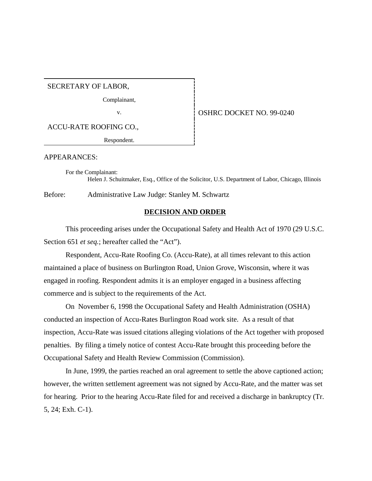SECRETARY OF LABOR,

Complainant,

ACCU-RATE ROOFING CO.,

Respondent.

v. 6 0SHRC DOCKET NO. 99-0240

APPEARANCES:

For the Complainant: Helen J. Schuitmaker, Esq., Office of the Solicitor, U.S. Department of Labor, Chicago, Illinois

Before: Administrative Law Judge: Stanley M. Schwartz

#### **DECISION AND ORDER**

This proceeding arises under the Occupational Safety and Health Act of 1970 (29 U.S.C. Section 651 *et seq.*; hereafter called the "Act").

Respondent, Accu-Rate Roofing Co. (Accu-Rate), at all times relevant to this action maintained a place of business on Burlington Road, Union Grove, Wisconsin, where it was engaged in roofing. Respondent admits it is an employer engaged in a business affecting commerce and is subject to the requirements of the Act.

On November 6, 1998 the Occupational Safety and Health Administration (OSHA) conducted an inspection of Accu-Rates Burlington Road work site. As a result of that inspection, Accu-Rate was issued citations alleging violations of the Act together with proposed penalties. By filing a timely notice of contest Accu-Rate brought this proceeding before the Occupational Safety and Health Review Commission (Commission).

In June, 1999, the parties reached an oral agreement to settle the above captioned action; however, the written settlement agreement was not signed by Accu-Rate, and the matter was set for hearing. Prior to the hearing Accu-Rate filed for and received a discharge in bankruptcy (Tr. 5, 24; Exh. C-1).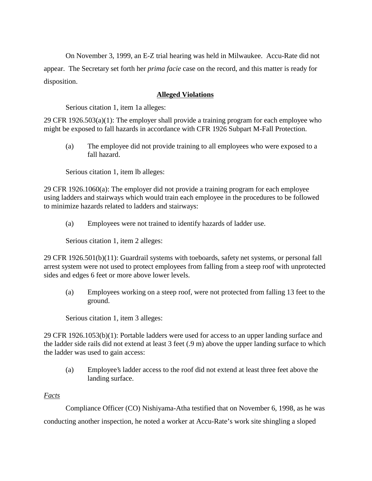On November 3, 1999, an E-Z trial hearing was held in Milwaukee. Accu-Rate did not appear. The Secretary set forth her *prima facie* case on the record, and this matter is ready for disposition.

## **Alleged Violations**

Serious citation 1, item 1a alleges:

29 CFR 1926.503(a)(1): The employer shall provide a training program for each employee who might be exposed to fall hazards in accordance with CFR 1926 Subpart M-Fall Protection.

(a) The employee did not provide training to all employees who were exposed to a fall hazard.

Serious citation 1, item lb alleges:

29 CFR 1926.1060(a): The employer did not provide a training program for each employee using ladders and stairways which would train each employee in the procedures to be followed to minimize hazards related to ladders and stairways:

(a) Employees were not trained to identify hazards of ladder use.

Serious citation 1, item 2 alleges:

29 CFR 1926.501(b)(11): Guardrail systems with toeboards, safety net systems, or personal fall arrest system were not used to protect employees from falling from a steep roof with unprotected sides and edges 6 feet or more above lower levels.

(a) Employees working on a steep roof, were not protected from falling 13 feet to the ground.

Serious citation 1, item 3 alleges:

29 CFR 1926.1053(b)(1): Portable ladders were used for access to an upper landing surface and the ladder side rails did not extend at least 3 feet (.9 m) above the upper landing surface to which the ladder was used to gain access:

(a) Employee's ladder access to the roof did not extend at least three feet above the landing surface.

## *Facts*

Compliance Officer (CO) Nishiyama-Atha testified that on November 6, 1998, as he was conducting another inspection, he noted a worker at Accu-Rate's work site shingling a sloped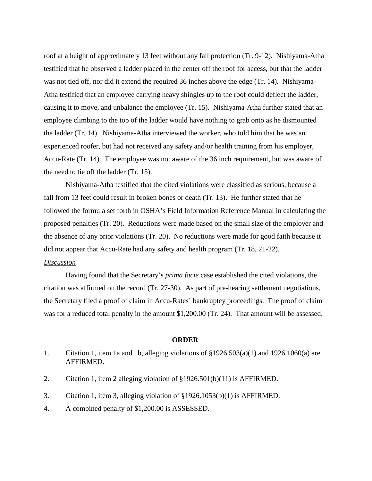roof at a height of approximately 13 feet without any fall protection (Tr. 9-12). Nishiyama-Atha testified that he observed a ladder placed in the center off the roof for access, but that the ladder was not tied off, nor did it extend the required 36 inches above the edge (Tr. 14). Nishiyama-Atha testified that an employee carrying heavy shingles up to the roof could deflect the ladder, causing it to move, and unbalance the employee (Tr. 15). Nishiyama-Atha further stated that an employee climbing to the top of the ladder would have nothing to grab onto as he dismounted the ladder (Tr. 14). Nishiyama-Atha interviewed the worker, who told him that he was an experienced roofer, but had not received any safety and/or health training from his employer, Accu-Rate (Tr. 14). The employee was not aware of the 36 inch requirement, but was aware of the need to tie off the ladder (Tr. 15).

Nishiyama-Atha testified that the cited violations were classified as serious, because a fall from 13 feet could result in broken bones or death (Tr. 13). He further stated that he followed the formula set forth in OSHA's Field Information Reference Manual in calculating the proposed penalties (Tr. 20). Reductions were made based on the small size of the employer and the absence of any prior violations (Tr. 20). No reductions were made for good faith because it did not appear that Accu-Rate had any safety and health program (Tr. 18, 21-22).

# *Discussion*

Having found that the Secretary's *prima facie* case established the cited violations, the citation was affirmed on the record (Tr. 27-30). As part of pre-hearing settlement negotiations, the Secretary filed a proof of claim in Accu-Rates' bankruptcy proceedings. The proof of claim was for a reduced total penalty in the amount \$1,200.00 (Tr. 24). That amount will be assessed.

#### **ORDER**

- 1. Citation 1, item 1a and 1b, alleging violations of  $\frac{1}{2}1926.503(a)(1)$  and  $1926.1060(a)$  are AFFIRMED.
- 2. Citation 1, item 2 alleging violation of §1926.501(b)(11) is AFFIRMED.
- 3. Citation 1, item 3, alleging violation of §1926.1053(b)(1) is AFFIRMED.
- 4. A combined penalty of \$1,200.00 is ASSESSED.